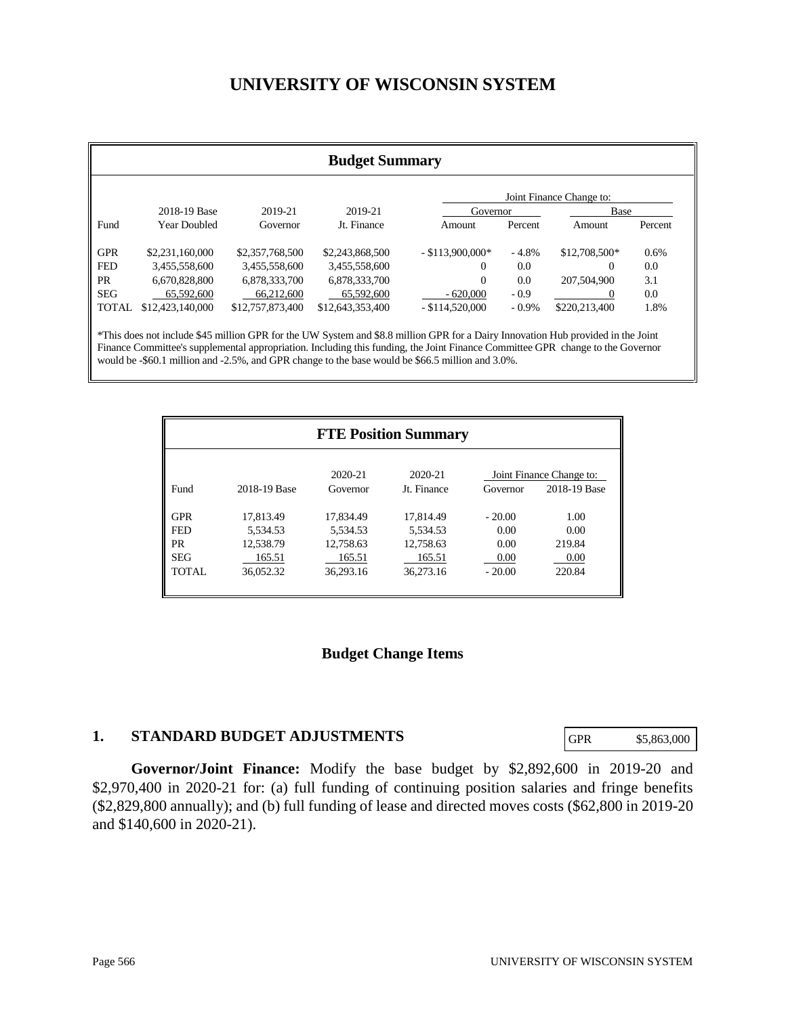# **UNIVERSITY OF WISCONSIN SYSTEM**

| <b>Budget Summary</b>    |                     |                  |                  |                    |          |               |         |
|--------------------------|---------------------|------------------|------------------|--------------------|----------|---------------|---------|
| Joint Finance Change to: |                     |                  |                  |                    |          |               |         |
|                          | 2018-19 Base        | 2019-21          | 2019-21          | Governor           |          | Base          |         |
| Fund                     | <b>Year Doubled</b> | Governor         | Jt. Finance      | Amount             | Percent  | Amount        | Percent |
| <b>GPR</b>               | \$2,231,160,000     | \$2,357,768,500  | \$2,243,868,500  | $-$ \$113,900,000* | $-4.8%$  | \$12,708,500* | 0.6%    |
| <b>FED</b>               | 3,455,558,600       | 3,455,558,600    | 3,455,558,600    | $\Omega$           | 0.0      | 0             | 0.0     |
| PR.                      | 6,670,828,800       | 6,878,333,700    | 6,878,333,700    | $\Omega$           | 0.0      | 207,504,900   | 3.1     |
| <b>SEG</b>               | 65,592,600          | 66.212,600       | 65,592,600       | $-620,000$         | $-0.9$   | $\theta$      | 0.0     |
| <b>TOTAL</b>             | \$12,423,140,000    | \$12,757,873,400 | \$12,643,353,400 | $-$ \$114,520,000  | $-0.9\%$ | \$220,213,400 | 1.8%    |

Finance Committee's supplemental appropriation. Including this funding, the Joint Finance Committee GPR change to the Governor would be -\$60.1 million and -2.5%, and GPR change to the base would be \$66.5 million and 3.0%.

|              |                     | <b>FTE Position Summary</b> |          |                                          |
|--------------|---------------------|-----------------------------|----------|------------------------------------------|
| 2018-19 Base | 2020-21<br>Governor | 2020-21<br>Jt. Finance      | Governor | Joint Finance Change to:<br>2018-19 Base |
| 17.813.49    | 17.834.49           | 17.814.49                   | $-20.00$ | 1.00                                     |
| 5.534.53     | 5.534.53            | 5.534.53                    | 0.00     | 0.00                                     |
| 12,538.79    | 12.758.63           | 12.758.63                   | 0.00     | 219.84                                   |
| 165.51       | 165.51              | 165.51                      | 0.00     | 0.00                                     |
| 36.052.32    | 36.293.16           | 36.273.16                   | $-20.00$ | 220.84                                   |
|              |                     |                             |          |                                          |

#### **Budget Change Items**

#### **1. STANDARD BUDGET ADJUSTMENTS**

GPR \$5,863,000

**Governor/Joint Finance:** Modify the base budget by \$2,892,600 in 2019-20 and \$2,970,400 in 2020-21 for: (a) full funding of continuing position salaries and fringe benefits (\$2,829,800 annually); and (b) full funding of lease and directed moves costs (\$62,800 in 2019-20 and \$140,600 in 2020-21).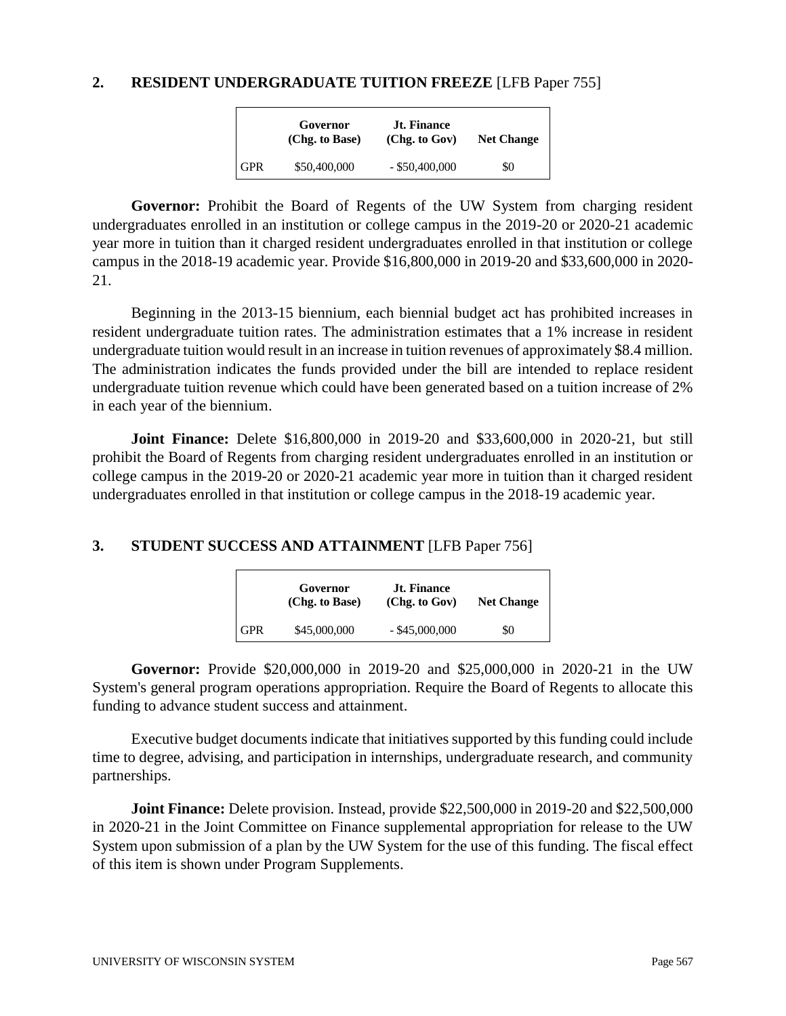#### **2. RESIDENT UNDERGRADUATE TUITION FREEZE** [LFB Paper 755]

|            | Governor<br>(Chg. to Base) | <b>Jt. Finance</b><br>(Chg. to Gov) | <b>Net Change</b> |
|------------|----------------------------|-------------------------------------|-------------------|
| <b>GPR</b> | \$50,400,000               | $-$ \$50,400,000                    | \$0               |

Governor: Prohibit the Board of Regents of the UW System from charging resident undergraduates enrolled in an institution or college campus in the 2019-20 or 2020-21 academic year more in tuition than it charged resident undergraduates enrolled in that institution or college campus in the 2018-19 academic year. Provide \$16,800,000 in 2019-20 and \$33,600,000 in 2020- 21.

Beginning in the 2013-15 biennium, each biennial budget act has prohibited increases in resident undergraduate tuition rates. The administration estimates that a 1% increase in resident undergraduate tuition would result in an increase in tuition revenues of approximately \$8.4 million. The administration indicates the funds provided under the bill are intended to replace resident undergraduate tuition revenue which could have been generated based on a tuition increase of 2% in each year of the biennium.

**Joint Finance:** Delete \$16,800,000 in 2019-20 and \$33,600,000 in 2020-21, but still prohibit the Board of Regents from charging resident undergraduates enrolled in an institution or college campus in the 2019-20 or 2020-21 academic year more in tuition than it charged resident undergraduates enrolled in that institution or college campus in the 2018-19 academic year.

#### **3. STUDENT SUCCESS AND ATTAINMENT** [LFB Paper 756]

|            | Governor<br>(Chg. to Base) | <b>Jt. Finance</b><br>(Chg. to Gov) | <b>Net Change</b> |
|------------|----------------------------|-------------------------------------|-------------------|
| <b>GPR</b> | \$45,000,000               | $-$ \$45,000,000                    | \$0               |

**Governor:** Provide \$20,000,000 in 2019-20 and \$25,000,000 in 2020-21 in the UW System's general program operations appropriation. Require the Board of Regents to allocate this funding to advance student success and attainment.

Executive budget documents indicate that initiatives supported by this funding could include time to degree, advising, and participation in internships, undergraduate research, and community partnerships.

**Joint Finance:** Delete provision. Instead, provide \$22,500,000 in 2019-20 and \$22,500,000 in 2020-21 in the Joint Committee on Finance supplemental appropriation for release to the UW System upon submission of a plan by the UW System for the use of this funding. The fiscal effect of this item is shown under Program Supplements.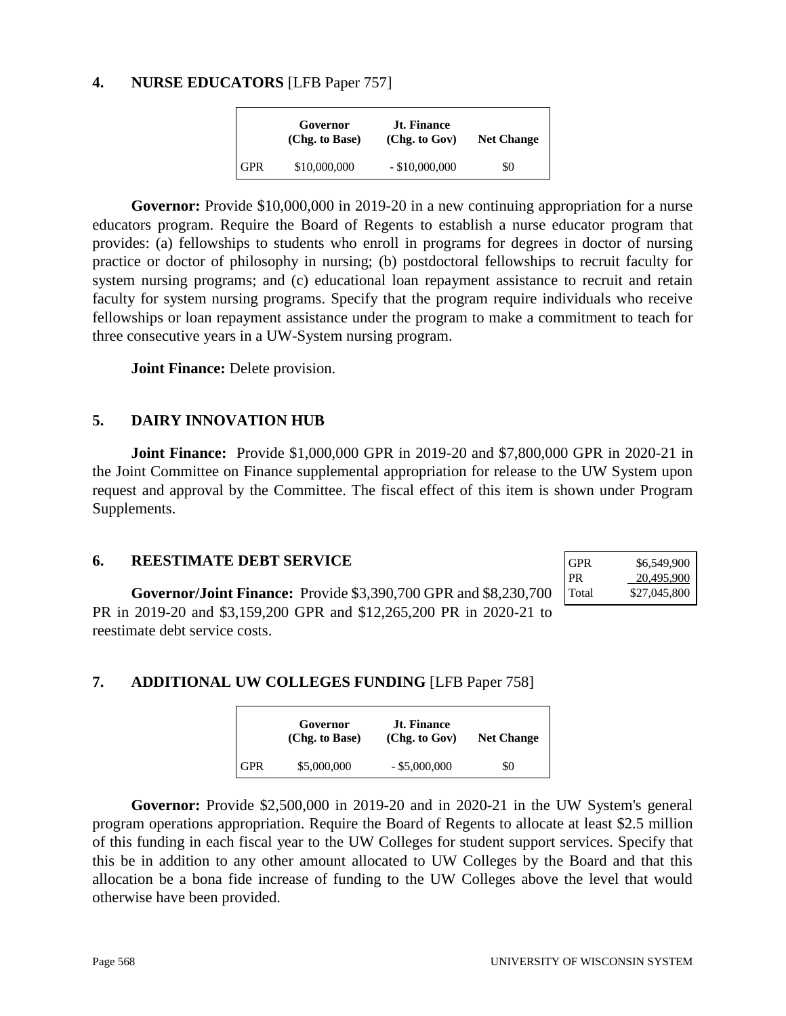### **4. NURSE EDUCATORS** [LFB Paper 757]

|            | Governor<br>(Chg. to Base) | <b>Jt. Finance</b><br>(Chg. to Gov) | <b>Net Change</b> |
|------------|----------------------------|-------------------------------------|-------------------|
| <b>GPR</b> | \$10,000,000               | $-$ \$10,000,000                    | \$0               |

Governor: Provide \$10,000,000 in 2019-20 in a new continuing appropriation for a nurse educators program. Require the Board of Regents to establish a nurse educator program that provides: (a) fellowships to students who enroll in programs for degrees in doctor of nursing practice or doctor of philosophy in nursing; (b) postdoctoral fellowships to recruit faculty for system nursing programs; and (c) educational loan repayment assistance to recruit and retain faculty for system nursing programs. Specify that the program require individuals who receive fellowships or loan repayment assistance under the program to make a commitment to teach for three consecutive years in a UW-System nursing program.

**Joint Finance:** Delete provision.

## **5. DAIRY INNOVATION HUB**

**Joint Finance:** Provide \$1,000,000 GPR in 2019-20 and \$7,800,000 GPR in 2020-21 in the Joint Committee on Finance supplemental appropriation for release to the UW System upon request and approval by the Committee. The fiscal effect of this item is shown under Program Supplements.

#### **6. REESTIMATE DEBT SERVICE**

**Governor/Joint Finance:** Provide \$3,390,700 GPR and \$8,230,700 PR in 2019-20 and \$3,159,200 GPR and \$12,265,200 PR in 2020-21 to reestimate debt service costs.

| <b>GPR</b> | \$6,549,900  |
|------------|--------------|
| <b>PR</b>  | 20,495,900   |
| Total      | \$27,045,800 |

## **7. ADDITIONAL UW COLLEGES FUNDING** [LFB Paper 758]

|            | Governor<br>(Chg. to Base) | <b>Jt. Finance</b><br>(Chg. to Gov) | <b>Net Change</b> |
|------------|----------------------------|-------------------------------------|-------------------|
| <b>GPR</b> | \$5,000,000                | $-$ \$5,000,000                     | \$0               |

**Governor:** Provide \$2,500,000 in 2019-20 and in 2020-21 in the UW System's general program operations appropriation. Require the Board of Regents to allocate at least \$2.5 million of this funding in each fiscal year to the UW Colleges for student support services. Specify that this be in addition to any other amount allocated to UW Colleges by the Board and that this allocation be a bona fide increase of funding to the UW Colleges above the level that would otherwise have been provided.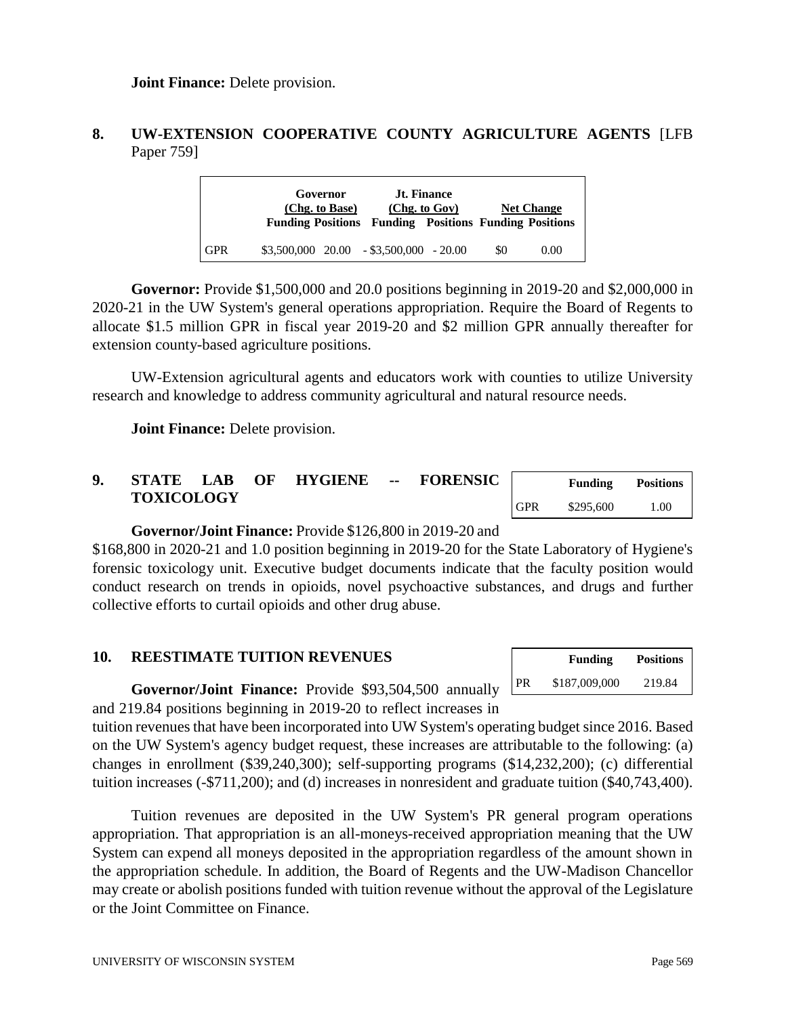## **8. UW-EXTENSION COOPERATIVE COUNTY AGRICULTURE AGENTS** [LFB Paper 759]

|            | Governor<br>(Chg. to Base) | <b>Jt. Finance</b><br>(Chg. to Gov)<br><b>Funding Positions Funding Positions Funding Positions</b> |     | <b>Net Change</b> |
|------------|----------------------------|-----------------------------------------------------------------------------------------------------|-----|-------------------|
| <b>GPR</b> |                            | $$3,500,000$ $20.00$ $- $3,500,000$ $- 20.00$                                                       | \$0 | 0.00              |

**Governor:** Provide \$1,500,000 and 20.0 positions beginning in 2019-20 and \$2,000,000 in 2020-21 in the UW System's general operations appropriation. Require the Board of Regents to allocate \$1.5 million GPR in fiscal year 2019-20 and \$2 million GPR annually thereafter for extension county-based agriculture positions.

UW-Extension agricultural agents and educators work with counties to utilize University research and knowledge to address community agricultural and natural resource needs.

**Joint Finance:** Delete provision.

| <b>STATE</b>      | <b>LAB</b> | OF | <b>HYGIENE</b> | -- | <b>FORENSIC</b> |            | Funding   | <b>Positions</b> |
|-------------------|------------|----|----------------|----|-----------------|------------|-----------|------------------|
| <b>TOXICOLOGY</b> |            |    |                |    |                 | <b>GPR</b> | \$295,600 | .00              |

#### **Governor/Joint Finance:** Provide \$126,800 in 2019-20 and

\$168,800 in 2020-21 and 1.0 position beginning in 2019-20 for the State Laboratory of Hygiene's forensic toxicology unit. Executive budget documents indicate that the faculty position would conduct research on trends in opioids, novel psychoactive substances, and drugs and further collective efforts to curtail opioids and other drug abuse.

### **10. REESTIMATE TUITION REVENUES**

|           | <b>Funding</b> | Positions |
|-----------|----------------|-----------|
| <b>PR</b> | \$187,009,000  | 219.84    |

**Governor/Joint Finance:** Provide \$93,504,500 annually and 219.84 positions beginning in 2019-20 to reflect increases in

tuition revenues that have been incorporated into UW System's operating budget since 2016. Based on the UW System's agency budget request, these increases are attributable to the following: (a) changes in enrollment (\$39,240,300); self-supporting programs (\$14,232,200); (c) differential tuition increases (-\$711,200); and (d) increases in nonresident and graduate tuition (\$40,743,400).

Tuition revenues are deposited in the UW System's PR general program operations appropriation. That appropriation is an all-moneys-received appropriation meaning that the UW System can expend all moneys deposited in the appropriation regardless of the amount shown in the appropriation schedule. In addition, the Board of Regents and the UW-Madison Chancellor may create or abolish positions funded with tuition revenue without the approval of the Legislature or the Joint Committee on Finance.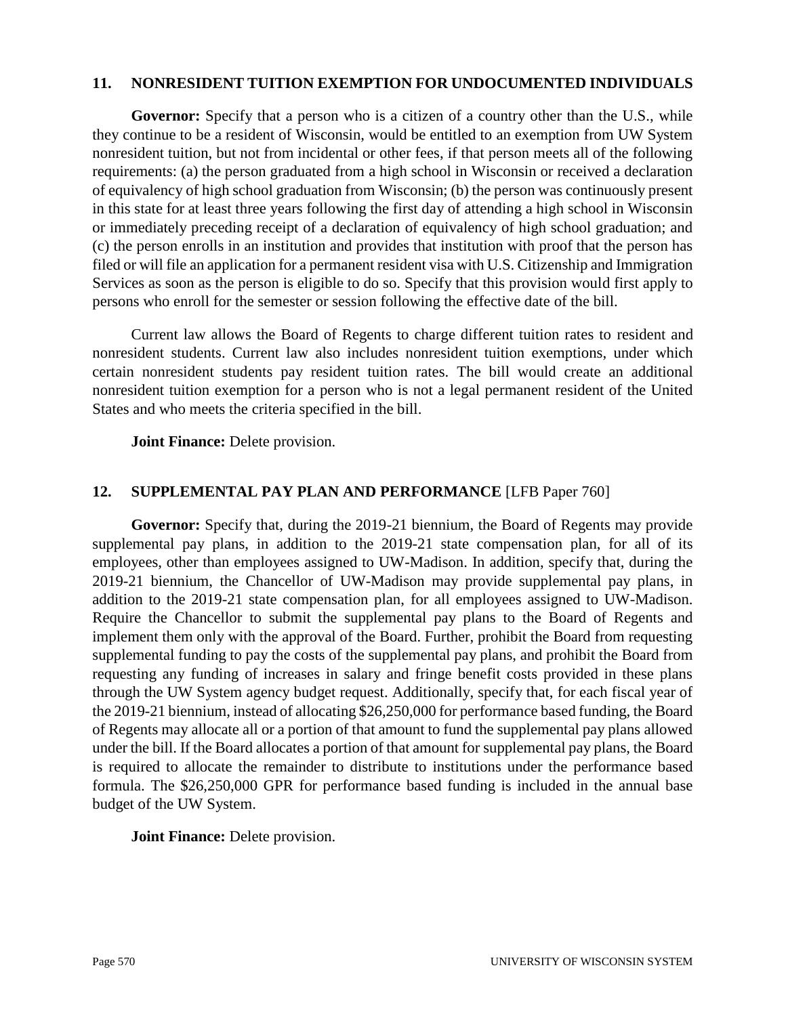#### **11. NONRESIDENT TUITION EXEMPTION FOR UNDOCUMENTED INDIVIDUALS**

Governor: Specify that a person who is a citizen of a country other than the U.S., while they continue to be a resident of Wisconsin, would be entitled to an exemption from UW System nonresident tuition, but not from incidental or other fees, if that person meets all of the following requirements: (a) the person graduated from a high school in Wisconsin or received a declaration of equivalency of high school graduation from Wisconsin; (b) the person was continuously present in this state for at least three years following the first day of attending a high school in Wisconsin or immediately preceding receipt of a declaration of equivalency of high school graduation; and (c) the person enrolls in an institution and provides that institution with proof that the person has filed or will file an application for a permanent resident visa with U.S. Citizenship and Immigration Services as soon as the person is eligible to do so. Specify that this provision would first apply to persons who enroll for the semester or session following the effective date of the bill.

Current law allows the Board of Regents to charge different tuition rates to resident and nonresident students. Current law also includes nonresident tuition exemptions, under which certain nonresident students pay resident tuition rates. The bill would create an additional nonresident tuition exemption for a person who is not a legal permanent resident of the United States and who meets the criteria specified in the bill.

**Joint Finance:** Delete provision.

#### **12. SUPPLEMENTAL PAY PLAN AND PERFORMANCE** [LFB Paper 760]

**Governor:** Specify that, during the 2019-21 biennium, the Board of Regents may provide supplemental pay plans, in addition to the 2019-21 state compensation plan, for all of its employees, other than employees assigned to UW-Madison. In addition, specify that, during the 2019-21 biennium, the Chancellor of UW-Madison may provide supplemental pay plans, in addition to the 2019-21 state compensation plan, for all employees assigned to UW-Madison. Require the Chancellor to submit the supplemental pay plans to the Board of Regents and implement them only with the approval of the Board. Further, prohibit the Board from requesting supplemental funding to pay the costs of the supplemental pay plans, and prohibit the Board from requesting any funding of increases in salary and fringe benefit costs provided in these plans through the UW System agency budget request. Additionally, specify that, for each fiscal year of the 2019-21 biennium, instead of allocating \$26,250,000 for performance based funding, the Board of Regents may allocate all or a portion of that amount to fund the supplemental pay plans allowed under the bill. If the Board allocates a portion of that amount for supplemental pay plans, the Board is required to allocate the remainder to distribute to institutions under the performance based formula. The \$26,250,000 GPR for performance based funding is included in the annual base budget of the UW System.

**Joint Finance:** Delete provision.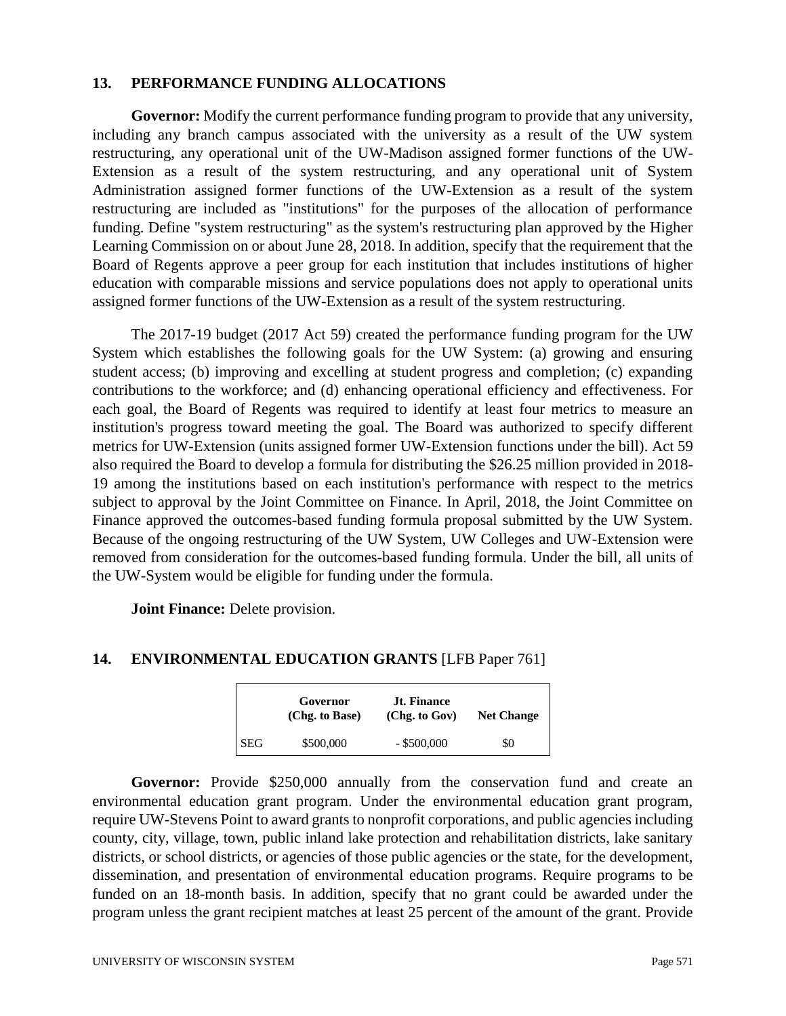#### **13. PERFORMANCE FUNDING ALLOCATIONS**

**Governor:** Modify the current performance funding program to provide that any university, including any branch campus associated with the university as a result of the UW system restructuring, any operational unit of the UW-Madison assigned former functions of the UW-Extension as a result of the system restructuring, and any operational unit of System Administration assigned former functions of the UW-Extension as a result of the system restructuring are included as "institutions" for the purposes of the allocation of performance funding. Define "system restructuring" as the system's restructuring plan approved by the Higher Learning Commission on or about June 28, 2018. In addition, specify that the requirement that the Board of Regents approve a peer group for each institution that includes institutions of higher education with comparable missions and service populations does not apply to operational units assigned former functions of the UW-Extension as a result of the system restructuring.

The 2017-19 budget (2017 Act 59) created the performance funding program for the UW System which establishes the following goals for the UW System: (a) growing and ensuring student access; (b) improving and excelling at student progress and completion; (c) expanding contributions to the workforce; and (d) enhancing operational efficiency and effectiveness. For each goal, the Board of Regents was required to identify at least four metrics to measure an institution's progress toward meeting the goal. The Board was authorized to specify different metrics for UW-Extension (units assigned former UW-Extension functions under the bill). Act 59 also required the Board to develop a formula for distributing the \$26.25 million provided in 2018- 19 among the institutions based on each institution's performance with respect to the metrics subject to approval by the Joint Committee on Finance. In April, 2018, the Joint Committee on Finance approved the outcomes-based funding formula proposal submitted by the UW System. Because of the ongoing restructuring of the UW System, UW Colleges and UW-Extension were removed from consideration for the outcomes-based funding formula. Under the bill, all units of the UW-System would be eligible for funding under the formula.

**Joint Finance:** Delete provision.

#### **14. ENVIRONMENTAL EDUCATION GRANTS** [LFB Paper 761]

|            | Governor<br>(Chg. to Base) | <b>Jt. Finance</b><br>(Chg. to Gov) | <b>Net Change</b> |
|------------|----------------------------|-------------------------------------|-------------------|
| <b>SEG</b> | \$500,000                  | $-$ \$500,000                       | \$0               |

Governor: Provide \$250,000 annually from the conservation fund and create an environmental education grant program. Under the environmental education grant program, require UW-Stevens Point to award grants to nonprofit corporations, and public agencies including county, city, village, town, public inland lake protection and rehabilitation districts, lake sanitary districts, or school districts, or agencies of those public agencies or the state, for the development, dissemination, and presentation of environmental education programs. Require programs to be funded on an 18-month basis. In addition, specify that no grant could be awarded under the program unless the grant recipient matches at least 25 percent of the amount of the grant. Provide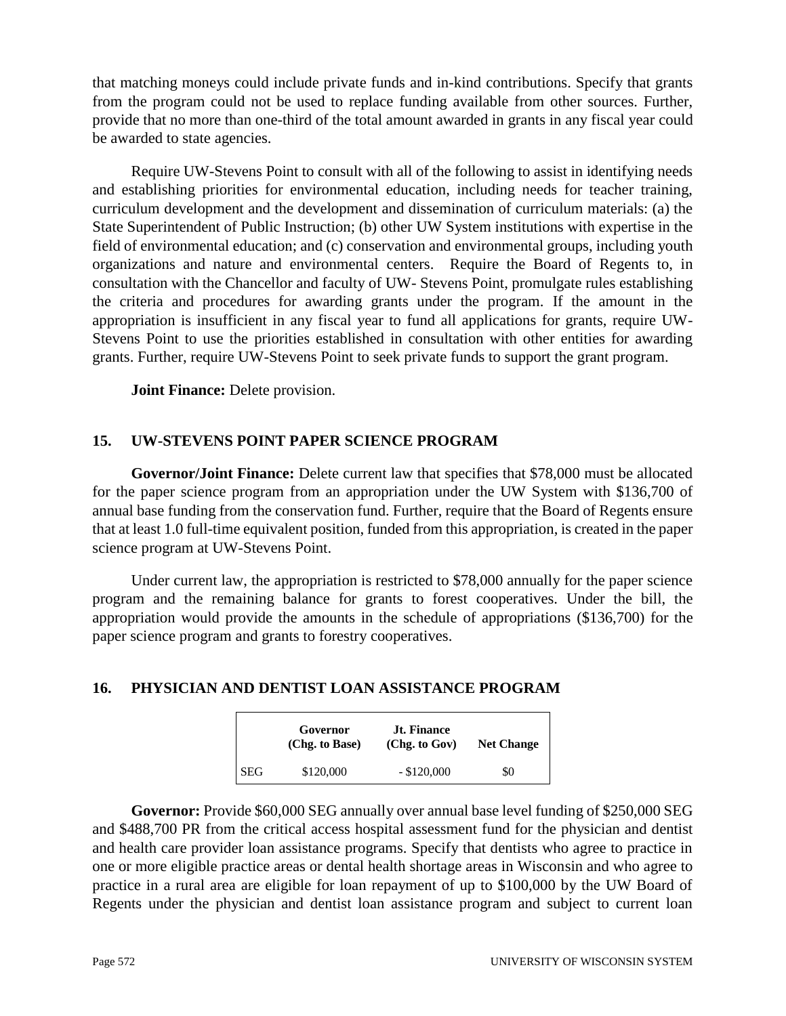that matching moneys could include private funds and in-kind contributions. Specify that grants from the program could not be used to replace funding available from other sources. Further, provide that no more than one-third of the total amount awarded in grants in any fiscal year could be awarded to state agencies.

Require UW-Stevens Point to consult with all of the following to assist in identifying needs and establishing priorities for environmental education, including needs for teacher training, curriculum development and the development and dissemination of curriculum materials: (a) the State Superintendent of Public Instruction; (b) other UW System institutions with expertise in the field of environmental education; and (c) conservation and environmental groups, including youth organizations and nature and environmental centers. Require the Board of Regents to, in consultation with the Chancellor and faculty of UW- Stevens Point, promulgate rules establishing the criteria and procedures for awarding grants under the program. If the amount in the appropriation is insufficient in any fiscal year to fund all applications for grants, require UW-Stevens Point to use the priorities established in consultation with other entities for awarding grants. Further, require UW-Stevens Point to seek private funds to support the grant program.

**Joint Finance:** Delete provision.

# **15. UW-STEVENS POINT PAPER SCIENCE PROGRAM**

**Governor/Joint Finance:** Delete current law that specifies that \$78,000 must be allocated for the paper science program from an appropriation under the UW System with \$136,700 of annual base funding from the conservation fund. Further, require that the Board of Regents ensure that at least 1.0 full-time equivalent position, funded from this appropriation, is created in the paper science program at UW-Stevens Point.

Under current law, the appropriation is restricted to \$78,000 annually for the paper science program and the remaining balance for grants to forest cooperatives. Under the bill, the appropriation would provide the amounts in the schedule of appropriations (\$136,700) for the paper science program and grants to forestry cooperatives.

## **16. PHYSICIAN AND DENTIST LOAN ASSISTANCE PROGRAM**

|            | Governor<br>(Chg. to Base) | <b>Jt. Finance</b><br>(Chg. to Gov) | <b>Net Change</b> |
|------------|----------------------------|-------------------------------------|-------------------|
| <b>SEG</b> | \$120,000                  | $-$ \$120,000                       | \$0               |

**Governor:** Provide \$60,000 SEG annually over annual base level funding of \$250,000 SEG and \$488,700 PR from the critical access hospital assessment fund for the physician and dentist and health care provider loan assistance programs. Specify that dentists who agree to practice in one or more eligible practice areas or dental health shortage areas in Wisconsin and who agree to practice in a rural area are eligible for loan repayment of up to \$100,000 by the UW Board of Regents under the physician and dentist loan assistance program and subject to current loan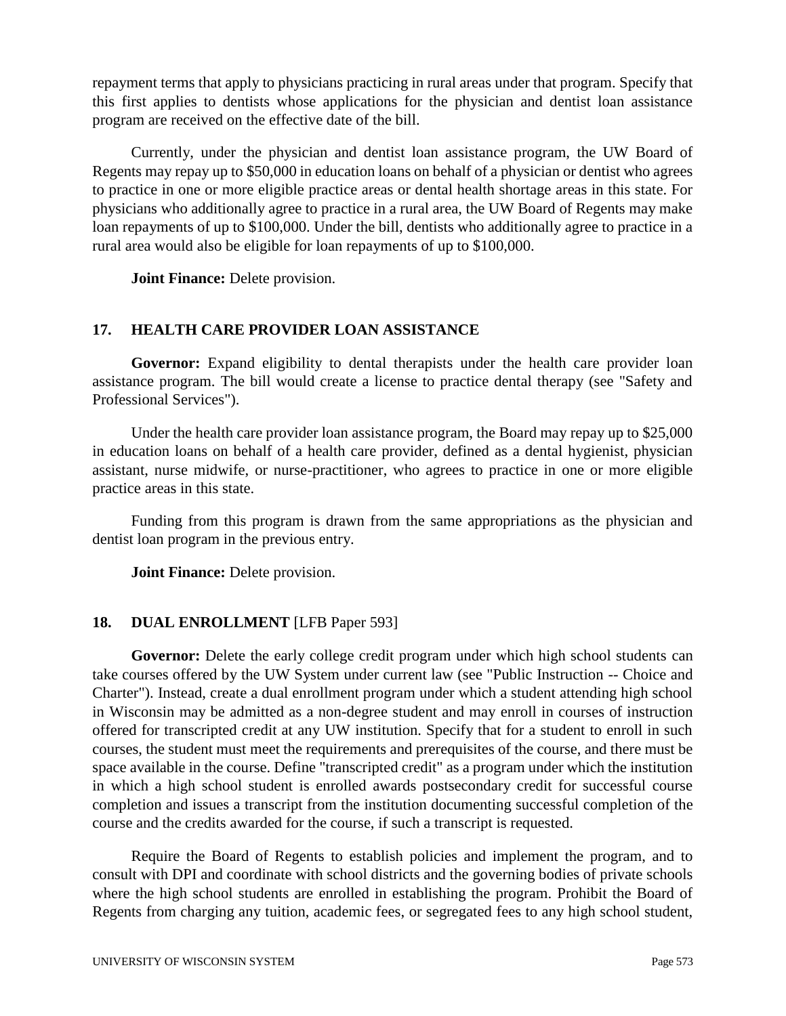repayment terms that apply to physicians practicing in rural areas under that program. Specify that this first applies to dentists whose applications for the physician and dentist loan assistance program are received on the effective date of the bill.

Currently, under the physician and dentist loan assistance program, the UW Board of Regents may repay up to \$50,000 in education loans on behalf of a physician or dentist who agrees to practice in one or more eligible practice areas or dental health shortage areas in this state. For physicians who additionally agree to practice in a rural area, the UW Board of Regents may make loan repayments of up to \$100,000. Under the bill, dentists who additionally agree to practice in a rural area would also be eligible for loan repayments of up to \$100,000.

**Joint Finance:** Delete provision.

## **17. HEALTH CARE PROVIDER LOAN ASSISTANCE**

**Governor:** Expand eligibility to dental therapists under the health care provider loan assistance program. The bill would create a license to practice dental therapy (see "Safety and Professional Services").

Under the health care provider loan assistance program, the Board may repay up to \$25,000 in education loans on behalf of a health care provider, defined as a dental hygienist, physician assistant, nurse midwife, or nurse-practitioner, who agrees to practice in one or more eligible practice areas in this state.

Funding from this program is drawn from the same appropriations as the physician and dentist loan program in the previous entry.

**Joint Finance:** Delete provision.

## **18. DUAL ENROLLMENT** [LFB Paper 593]

Governor: Delete the early college credit program under which high school students can take courses offered by the UW System under current law (see "Public Instruction -- Choice and Charter"). Instead, create a dual enrollment program under which a student attending high school in Wisconsin may be admitted as a non-degree student and may enroll in courses of instruction offered for transcripted credit at any UW institution. Specify that for a student to enroll in such courses, the student must meet the requirements and prerequisites of the course, and there must be space available in the course. Define "transcripted credit" as a program under which the institution in which a high school student is enrolled awards postsecondary credit for successful course completion and issues a transcript from the institution documenting successful completion of the course and the credits awarded for the course, if such a transcript is requested.

Require the Board of Regents to establish policies and implement the program, and to consult with DPI and coordinate with school districts and the governing bodies of private schools where the high school students are enrolled in establishing the program. Prohibit the Board of Regents from charging any tuition, academic fees, or segregated fees to any high school student,